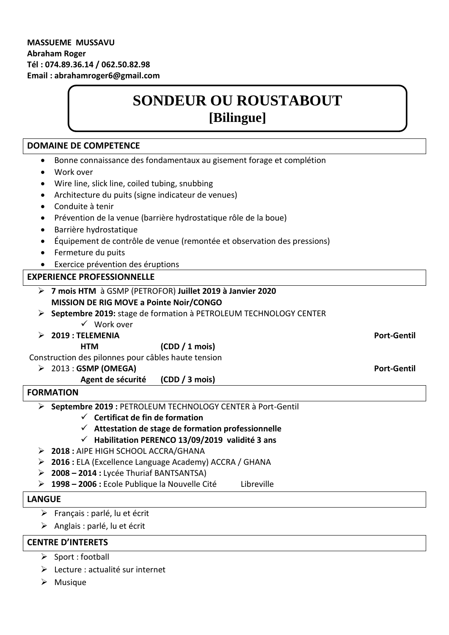# **SONDEUR OU ROUSTABOUT [Bilingue]**

# **DOMAINE DE COMPETENCE** Bonne connaissance des fondamentaux au gisement forage et complétion Work over Wire line, slick line, coiled tubing, snubbing Architecture du puits (signe indicateur de venues) Conduite à tenir Prévention de la venue (barrière hydrostatique rôle de la boue) Barrière hydrostatique Équipement de contrôle de venue (remontée et observation des pressions) • Fermeture du puits Exercice prévention des éruptions **EXPERIENCE PROFESSIONNELLE 7 mois HTM** à GSMP (PETROFOR) **Juillet 2019 à Janvier 2020 MISSION DE RIG MOVE a Pointe Noir/CONGO Septembre 2019:** stage de formation à PETROLEUM TECHNOLOGY CENTER Work over **2019 : TELEMENIA Port-Gentil HTM (CDD / 1 mois)**  Construction des pilonnes pour câbles haute tension → 2013 : GSMP (OMEGA) Port-Gentil **Port-Gentil Agent de sécurité (CDD / 3 mois) FORMATION Septembre 2019 :** PETROLEUM TECHNOLOGY CENTER à Port-Gentil **Certificat de fin de formation Attestation de stage de formation professionnelle Habilitation PERENCO 13/09/2019 validité 3 ans 2018 :** AIPE HIGH SCHOOL ACCRA/GHANA **2016 :** ELA (Excellence Language Academy) ACCRA / GHANA **2008 – 2014 :** Lycée Thuriaf BANTSANTSA) **1998 – 2006 :** Ecole Publique la Nouvelle Cité Libreville **LANGUE**   $\triangleright$  Français : parlé, lu et écrit

 $\triangleright$  Anglais : parlé, lu et écrit

# **CENTRE D'INTERETS**

- $\triangleright$  Sport : football
- Lecture : actualité sur internet
- $\triangleright$  Musique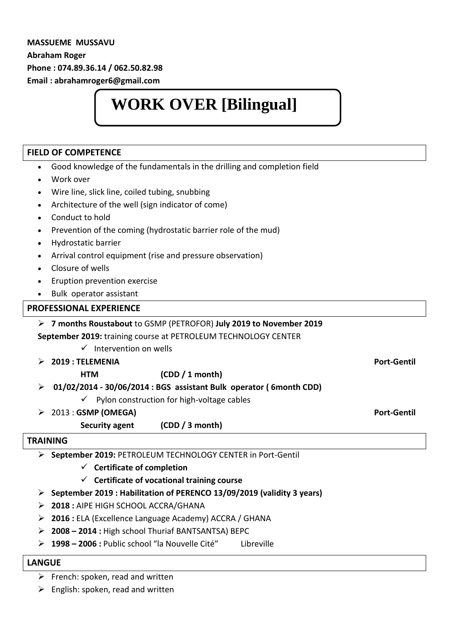### **MASSUEME MUSSAVU Abraham Roger Phone : 074.89.36.14 / 062.50.82.98 Email : abrahamroger6@gmail.com**

# **WORK OVER [Bilingual]**

### **FIELD OF COMPETENCE**

 Good knowledge of the fundamentals in the drilling and completion field Work over Wire line, slick line, coiled tubing, snubbing Architecture of the well (sign indicator of come) Conduct to hold Prevention of the coming (hydrostatic barrier role of the mud) Hydrostatic barrier Arrival control equipment (rise and pressure observation) Closure of wells Eruption prevention exercise Bulk operator assistant **PROFESSIONAL EXPERIENCE 7 months Roustabout** to GSMP (PETROFOR) **July 2019 to November 2019**

**September 2019:** training course at PETROLEUM TECHNOLOGY CENTER

- $\checkmark$  Intervention on wells
- **2019 : TELEMENIA Port-Gentil**
	- **HTM (CDD / 1 month)**
	- **01/02/2014 - 30/06/2014 : BGS assistant Bulk operator ( 6month CDD)**
		- $\checkmark$  Pylon construction for high-voltage cables
	- 2013 : **GSMP (OMEGA) Port-Gentil** 
		- **Security agent (CDD / 3 month)**

### **TRAINING**

**September 2019:** PETROLEUM TECHNOLOGY CENTER in Port-Gentil

- **Certificate of completion**
- **Certificate of vocational training course**
- **September 2019 : Habilitation of PERENCO 13/09/2019 (validity 3 years)**
- **2018 :** AIPE HIGH SCHOOL ACCRA/GHANA
- **2016 :** ELA (Excellence Language Academy) ACCRA / GHANA
- **2008 – 2014 :** High school Thuriaf BANTSANTSA) BEPC
- **1998 – 2006 :** Public school "la Nouvelle Cité" Libreville

### **LANGUE**

 $\triangleright$  French: spoken, read and written

 $\triangleright$  English: spoken, read and written